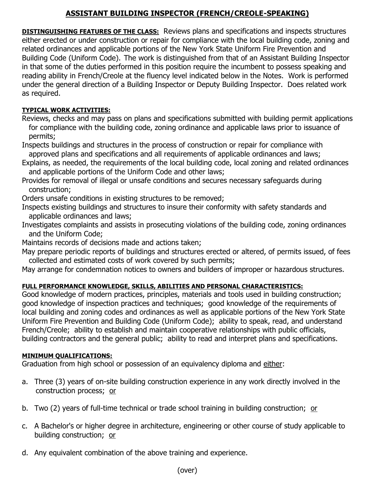# **ASSISTANT BUILDING INSPECTOR (FRENCH/CREOLE-SPEAKING)**

**DISTINGUISHING FEATURES OF THE CLASS:** Reviews plans and specifications and inspects structures either erected or under construction or repair for compliance with the local building code, zoning and related ordinances and applicable portions of the New York State Uniform Fire Prevention and Building Code (Uniform Code). The work is distinguished from that of an Assistant Building Inspector in that some of the duties performed in this position require the incumbent to possess speaking and reading ability in French/Creole at the fluency level indicated below in the Notes. Work is performed under the general direction of a Building Inspector or Deputy Building Inspector. Does related work as required.

### **TYPICAL WORK ACTIVITIES:**

Reviews, checks and may pass on plans and specifications submitted with building permit applications for compliance with the building code, zoning ordinance and applicable laws prior to issuance of permits;

Inspects buildings and structures in the process of construction or repair for compliance with approved plans and specifications and all requirements of applicable ordinances and laws;

- Explains, as needed, the requirements of the local building code, local zoning and related ordinances and applicable portions of the Uniform Code and other laws;
- Provides for removal of illegal or unsafe conditions and secures necessary safeguards during construction;

Orders unsafe conditions in existing structures to be removed;

- Inspects existing buildings and structures to insure their conformity with safety standards and applicable ordinances and laws;
- Investigates complaints and assists in prosecuting violations of the building code, zoning ordinances and the Uniform Code;

Maintains records of decisions made and actions taken;

May prepare periodic reports of buildings and structures erected or altered, of permits issued, of fees collected and estimated costs of work covered by such permits;

May arrange for condemnation notices to owners and builders of improper or hazardous structures.

## **FULL PERFORMANCE KNOWLEDGE, SKILLS, ABILITIES AND PERSONAL CHARACTERISTICS:**

Good knowledge of modern practices, principles, materials and tools used in building construction; good knowledge of inspection practices and techniques; good knowledge of the requirements of local building and zoning codes and ordinances as well as applicable portions of the New York State Uniform Fire Prevention and Building Code (Uniform Code); ability to speak, read, and understand French/Creole; ability to establish and maintain cooperative relationships with public officials, building contractors and the general public; ability to read and interpret plans and specifications.

#### **MINIMUM QUALIFICATIONS:**

Graduation from high school or possession of an equivalency diploma and either:

- a. Three (3) years of on-site building construction experience in any work directly involved in the construction process; or
- b. Two (2) years of full-time technical or trade school training in building construction; or
- c. A Bachelor's or higher degree in architecture, engineering or other course of study applicable to building construction; or
- d. Any equivalent combination of the above training and experience.